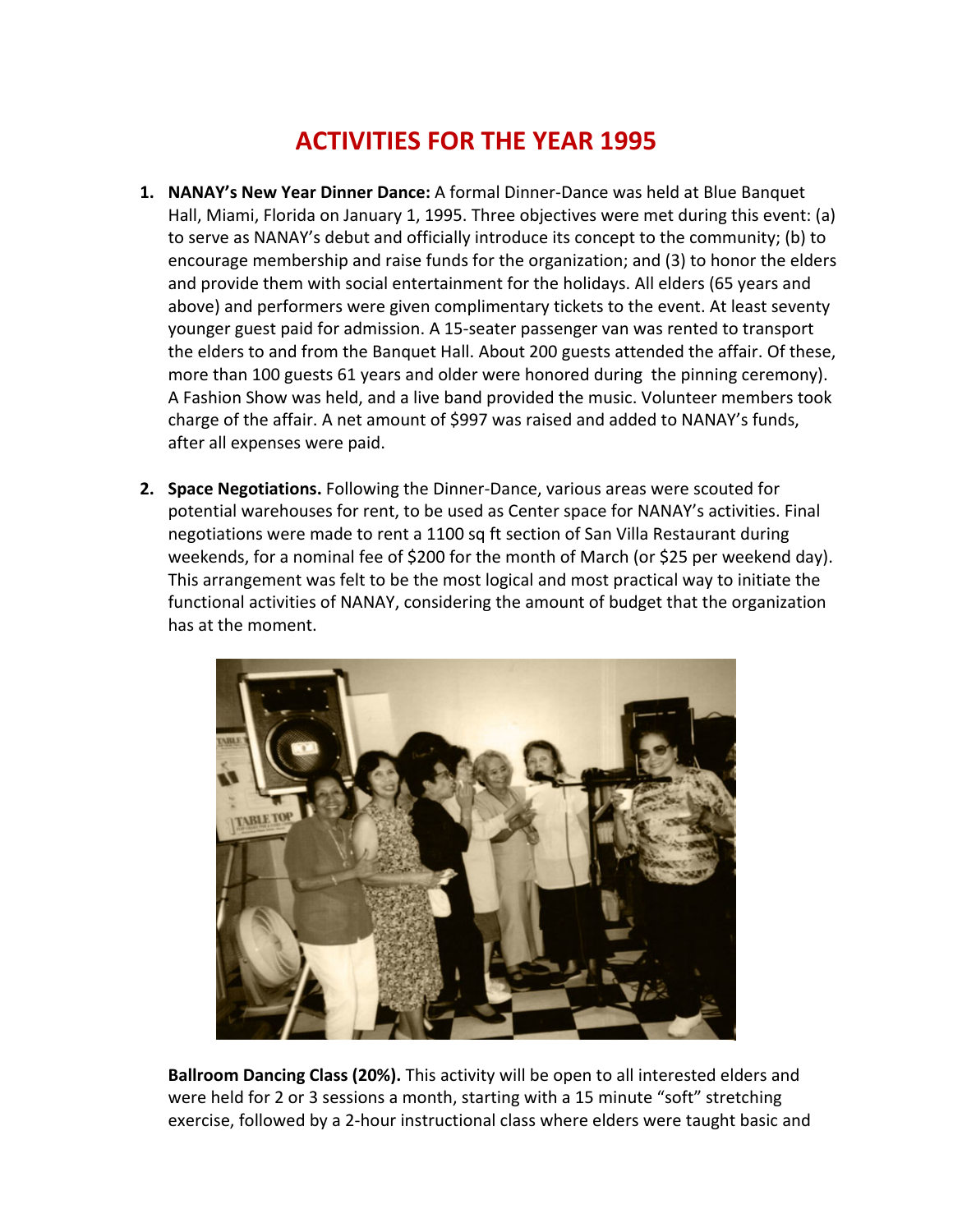## **ACTIVITIES FOR THE YEAR 1995**

- **1. NANAY's New Year Dinner Dance:** A formal Dinner-Dance was held at Blue Banquet Hall, Miami, Florida on January 1, 1995. Three objectives were met during this event: (a) to serve as NANAY's debut and officially introduce its concept to the community; (b) to encourage membership and raise funds for the organization; and (3) to honor the elders and provide them with social entertainment for the holidays. All elders (65 years and above) and performers were given complimentary tickets to the event. At least seventy younger guest paid for admission. A 15-seater passenger van was rented to transport the elders to and from the Banquet Hall. About 200 guests attended the affair. Of these, more than 100 guests 61 years and older were honored during the pinning ceremony). A Fashion Show was held, and a live band provided the music. Volunteer members took charge of the affair. A net amount of \$997 was raised and added to NANAY's funds, after all expenses were paid.
- **2. Space Negotiations.** Following the Dinner-Dance, various areas were scouted for potential warehouses for rent, to be used as Center space for NANAY's activities. Final negotiations were made to rent a 1100 sq ft section of San Villa Restaurant during weekends, for a nominal fee of \$200 for the month of March (or \$25 per weekend day). This arrangement was felt to be the most logical and most practical way to initiate the functional activities of NANAY, considering the amount of budget that the organization has at the moment.



**Ballroom Dancing Class (20%).** This activity will be open to all interested elders and were held for 2 or 3 sessions a month, starting with a 15 minute "soft" stretching exercise, followed by a 2-hour instructional class where elders were taught basic and